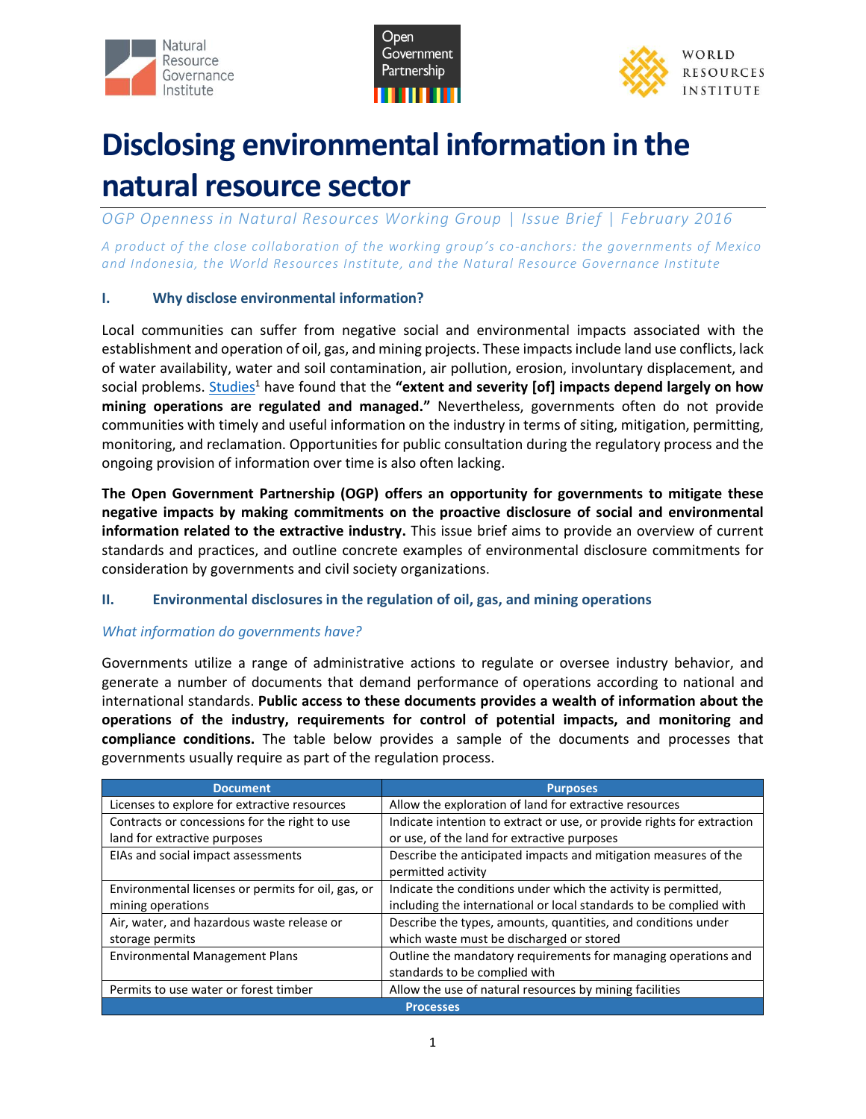





# **Disclosing environmental information in the natural resource sector**

*OGP Openness in Natural Resources Working Group* | *Issue Brief* | *February 2016*

*A product of the close collaboration of the working group's co-anchors: the governments of Mexico and Indonesia, the World Resources Institute, and the Natural Resource Governance Institute*

## **I. Why disclose environmental information?**

Local communities can suffer from negative social and environmental impacts associated with the establishment and operation of oil, gas, and mining projects. These impacts include land use conflicts, lack of water availability, water and soil contamination, air pollution, erosion, involuntary displacement, and social problems. [Studies](http://siteresources.worldbank.org/INTOGMC/Resources/largemineslocalcommunities.pdf)<sup>1</sup> have found that the "extent and severity [of] impacts depend largely on how **mining operations are regulated and managed."** Nevertheless, governments often do not provide communities with timely and useful information on the industry in terms of siting, mitigation, permitting, monitoring, and reclamation. Opportunities for public consultation during the regulatory process and the ongoing provision of information over time is also often lacking.

**The Open Government Partnership (OGP) offers an opportunity for governments to mitigate these negative impacts by making commitments on the proactive disclosure of social and environmental information related to the extractive industry.** This issue brief aims to provide an overview of current standards and practices, and outline concrete examples of environmental disclosure commitments for consideration by governments and civil society organizations.

# **II. Environmental disclosures in the regulation of oil, gas, and mining operations**

# *What information do governments have?*

Governments utilize a range of administrative actions to regulate or oversee industry behavior, and generate a number of documents that demand performance of operations according to national and international standards. **Public access to these documents provides a wealth of information about the operations of the industry, requirements for control of potential impacts, and monitoring and compliance conditions.** The table below provides a sample of the documents and processes that governments usually require as part of the regulation process.

| <b>Document</b>                                    | <b>Purposes</b>                                                        |  |
|----------------------------------------------------|------------------------------------------------------------------------|--|
| Licenses to explore for extractive resources       | Allow the exploration of land for extractive resources                 |  |
| Contracts or concessions for the right to use      | Indicate intention to extract or use, or provide rights for extraction |  |
| land for extractive purposes                       | or use, of the land for extractive purposes                            |  |
| EIAs and social impact assessments                 | Describe the anticipated impacts and mitigation measures of the        |  |
|                                                    | permitted activity                                                     |  |
| Environmental licenses or permits for oil, gas, or | Indicate the conditions under which the activity is permitted,         |  |
| mining operations                                  | including the international or local standards to be complied with     |  |
| Air, water, and hazardous waste release or         | Describe the types, amounts, quantities, and conditions under          |  |
| storage permits                                    | which waste must be discharged or stored                               |  |
| <b>Environmental Management Plans</b>              | Outline the mandatory requirements for managing operations and         |  |
|                                                    | standards to be complied with                                          |  |
| Permits to use water or forest timber              | Allow the use of natural resources by mining facilities                |  |
| <b>Processes</b>                                   |                                                                        |  |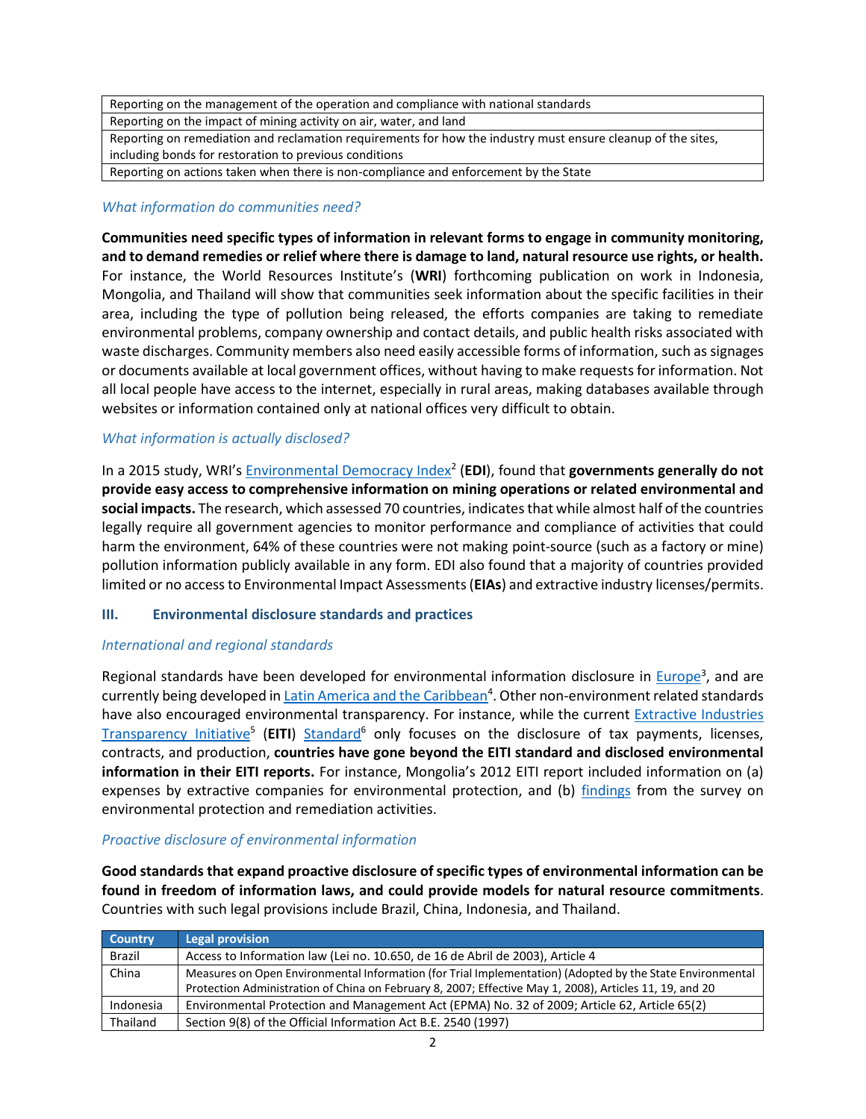Reporting on the management of the operation and compliance with national standards Reporting on the impact of mining activity on air, water, and land Reporting on remediation and reclamation requirements for how the industry must ensure cleanup of the sites, including bonds for restoration to previous conditions Reporting on actions taken when there is non-compliance and enforcement by the State

#### *What information do communities need?*

**Communities need specific types of information in relevant forms to engage in community monitoring, and to demand remedies or relief where there is damage to land, natural resource use rights, or health.** For instance, the World Resources Institute's (**WRI**) forthcoming publication on work in Indonesia, Mongolia, and Thailand will show that communities seek information about the specific facilities in their area, including the type of pollution being released, the efforts companies are taking to remediate environmental problems, company ownership and contact details, and public health risks associated with waste discharges. Community members also need easily accessible forms of information, such as signages or documents available at local government offices, without having to make requests for information. Not all local people have access to the internet, especially in rural areas, making databases available through websites or information contained only at national offices very difficult to obtain.

## *What information is actually disclosed?*

In a 2015 study, WRI's **Environmental Democracy Index<sup>2</sup> (EDI**), found that **governments generally do not provide easy access to comprehensive information on mining operations or related environmental and social impacts.** The research, which assessed 70 countries, indicates that while almost half of the countries legally require all government agencies to monitor performance and compliance of activities that could harm the environment, 64% of these countries were not making point-source (such as a factory or mine) pollution information publicly available in any form. EDI also found that a majority of countries provided limited or no access to Environmental Impact Assessments (**EIAs**) and extractive industry licenses/permits.

## **III. Environmental disclosure standards and practices**

## *International and regional standards*

Regional standards have been developed for environmental information disclosure in *Europe*<sup>3</sup>, and are currently being developed in *Latin America and the Caribbean*<sup>4</sup>. Other non-environment related standards have also encouraged environmental transparency. For instance, while the current Extractive Industries [Transparency Initiative](http://www.eiti.org/)<sup>5</sup> (EITI) [Standard](https://eiti.org/document/standard)<sup>6</sup> only focuses on the disclosure of tax payments, licenses, contracts, and production, **countries have gone beyond the EITI standard and disclosed environmental information in their EITI reports.** For instance, Mongolia's 2012 EITI report included information on (a) expenses by extractive companies for environmental protection, and (b) [findings](https://eiti.org/news/mongolia-increasing-transparency-year-year) from the survey on environmental protection and remediation activities.

## *Proactive disclosure of environmental information*

**Good standards that expand proactive disclosure of specific types of environmental information can be found in freedom of information laws, and could provide models for natural resource commitments**. Countries with such legal provisions include Brazil, China, Indonesia, and Thailand.

| <b>Country</b> | <b>Legal provision</b>                                                                                    |
|----------------|-----------------------------------------------------------------------------------------------------------|
| <b>Brazil</b>  | Access to Information law (Lei no. 10.650, de 16 de Abril de 2003), Article 4                             |
| China          | Measures on Open Environmental Information (for Trial Implementation) (Adopted by the State Environmental |
|                | Protection Administration of China on February 8, 2007; Effective May 1, 2008), Articles 11, 19, and 20   |
| Indonesia      | Environmental Protection and Management Act (EPMA) No. 32 of 2009; Article 62, Article 65(2)              |
| Thailand       | Section 9(8) of the Official Information Act B.E. 2540 (1997)                                             |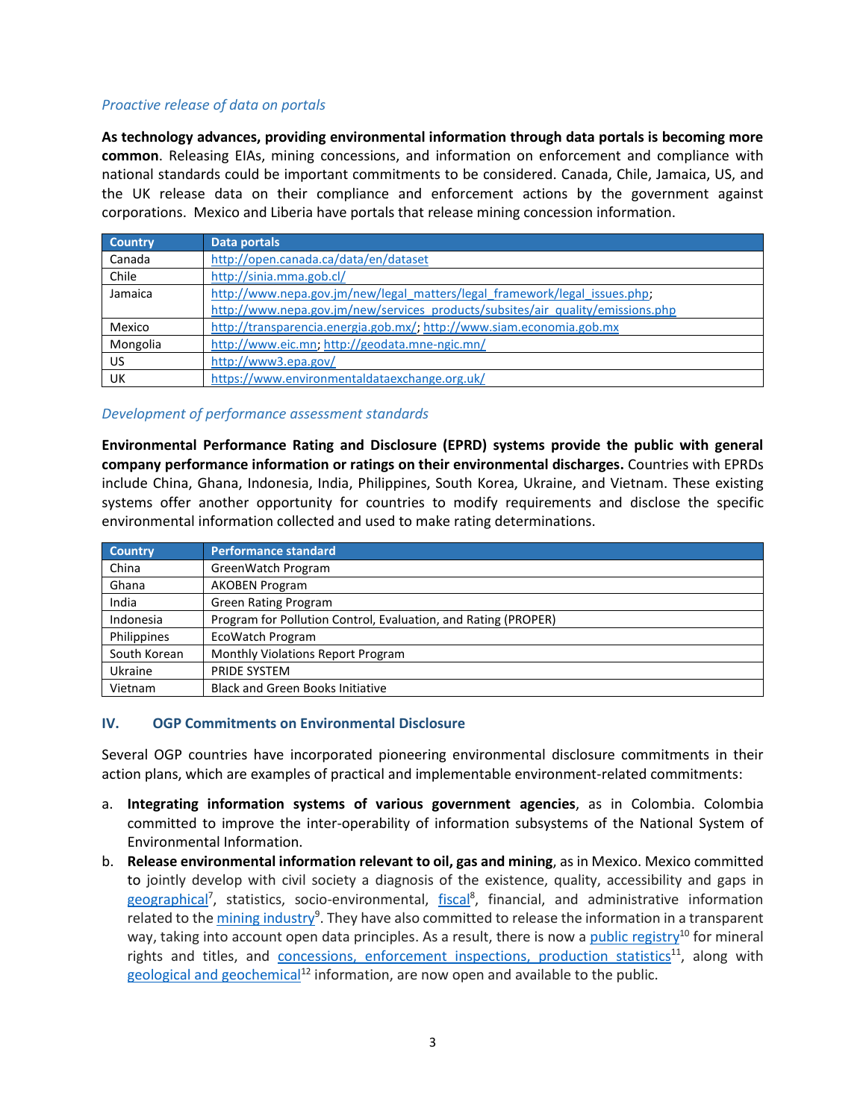#### *Proactive release of data on portals*

**As technology advances, providing environmental information through data portals is becoming more common**. Releasing EIAs, mining concessions, and information on enforcement and compliance with national standards could be important commitments to be considered. Canada, Chile, Jamaica, US, and the UK release data on their compliance and enforcement actions by the government against corporations. Mexico and Liberia have portals that release mining concession information.

| <b>Country</b> | Data portals                                                                    |
|----------------|---------------------------------------------------------------------------------|
| Canada         | http://open.canada.ca/data/en/dataset                                           |
| Chile          | http://sinia.mma.gob.cl/                                                        |
| Jamaica        | http://www.nepa.gov.jm/new/legal_matters/legal_framework/legal_issues.php;      |
|                | http://www.nepa.gov.jm/new/services_products/subsites/air_guality/emissions.php |
| Mexico         | http://transparencia.energia.gob.mx/; http://www.siam.economia.gob.mx           |
| Mongolia       | http://www.eic.mn; http://geodata.mne-ngic.mn/                                  |
| US.            | http://www3.epa.gov/                                                            |
| UK             | https://www.environmentaldataexchange.org.uk/                                   |

#### *Development of performance assessment standards*

**Environmental Performance Rating and Disclosure (EPRD) systems provide the public with general company performance information or ratings on their environmental discharges.** Countries with EPRDs include China, Ghana, Indonesia, India, Philippines, South Korea, Ukraine, and Vietnam. These existing systems offer another opportunity for countries to modify requirements and disclose the specific environmental information collected and used to make rating determinations.

| <b>Country</b> | <b>Performance standard</b>                                    |
|----------------|----------------------------------------------------------------|
| China          | GreenWatch Program                                             |
| Ghana          | <b>AKOBEN Program</b>                                          |
| India          | <b>Green Rating Program</b>                                    |
| Indonesia      | Program for Pollution Control, Evaluation, and Rating (PROPER) |
| Philippines    | <b>EcoWatch Program</b>                                        |
| South Korean   | Monthly Violations Report Program                              |
| Ukraine        | PRIDE SYSTEM                                                   |
| Vietnam        | <b>Black and Green Books Initiative</b>                        |

#### **IV. OGP Commitments on Environmental Disclosure**

Several OGP countries have incorporated pioneering environmental disclosure commitments in their action plans, which are examples of practical and implementable environment-related commitments:

- a. **Integrating information systems of various government agencies**, as in Colombia. Colombia committed to improve the inter-operability of information subsystems of the National System of Environmental Information.
- b. **Release environmental information relevant to oil, gas and mining**, as in Mexico. Mexico committed to jointly develop with civil society a diagnosis of the existence, quality, accessibility and gaps in [geographical](http://www.datos.gob.mx/)<sup>7</sup>, statistics, socio-environmental, *[fiscal](http://www.datos.gob.mx/)<sup>8</sup>*, financial, and administrative information related to the *mining industry*<sup>9</sup>. They have also committed to release the information in a transparent way, taking into account open data principles. As a result, there is now a [public registry](http://www.economia.gob.mx/)<sup>10</sup> for mineral rights and titles, and **concessions**, enforcement inspections, production statistics<sup>11</sup>, along with [geological and geochemical](http://www.sgm.gob.mx/)<sup>12</sup> information, are now open and available to the public.